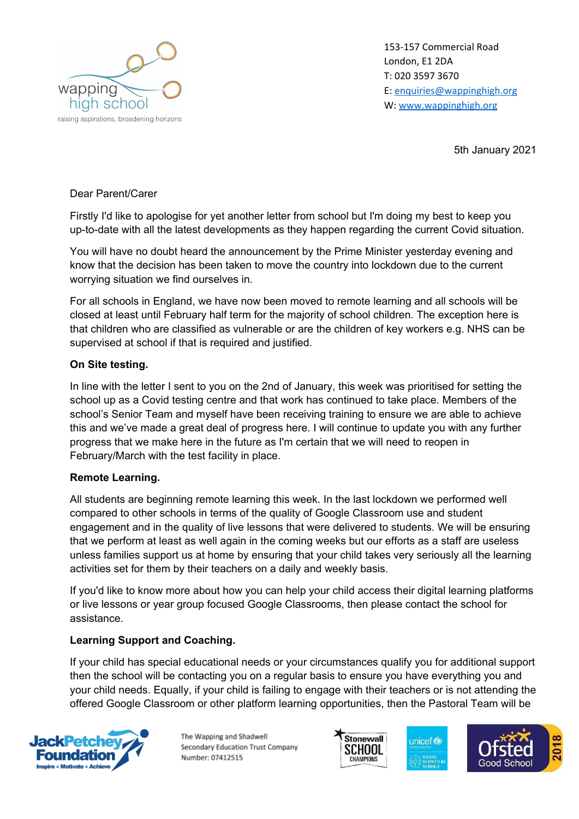

153-157 Commercial Road London, E1 2DA T: 020 3597 3670 E: [enquiries@wappinghigh.org](mailto:enquiries@wappinghigh.org) W: [www.wappinghigh.org](http://www.wappinghigh.org/)

5th January 2021

## Dear Parent/Carer

Firstly I'd like to apologise for yet another letter from school but I'm doing my best to keep you up-to-date with all the latest developments as they happen regarding the current Covid situation.

You will have no doubt heard the announcement by the Prime Minister yesterday evening and know that the decision has been taken to move the country into lockdown due to the current worrying situation we find ourselves in.

For all schools in England, we have now been moved to remote learning and all schools will be closed at least until February half term for the majority of school children. The exception here is that children who are classified as vulnerable or are the children of key workers e.g. NHS can be supervised at school if that is required and justified.

## **On Site testing.**

In line with the letter I sent to you on the 2nd of January, this week was prioritised for setting the school up as a Covid testing centre and that work has continued to take place. Members of the school's Senior Team and myself have been receiving training to ensure we are able to achieve this and we've made a great deal of progress here. I will continue to update you with any further progress that we make here in the future as I'm certain that we will need to reopen in February/March with the test facility in place.

## **Remote Learning.**

All students are beginning remote learning this week. In the last lockdown we performed well compared to other schools in terms of the quality of Google Classroom use and student engagement and in the quality of live lessons that were delivered to students. We will be ensuring that we perform at least as well again in the coming weeks but our efforts as a staff are useless unless families support us at home by ensuring that your child takes very seriously all the learning activities set for them by their teachers on a daily and weekly basis.

If you'd like to know more about how you can help your child access their digital learning platforms or live lessons or year group focused Google Classrooms, then please contact the school for assistance.

## **Learning Support and Coaching.**

If your child has special educational needs or your circumstances qualify you for additional support then the school will be contacting you on a regular basis to ensure you have everything you and your child needs. Equally, if your child is failing to engage with their teachers or is not attending the offered Google Classroom or other platform learning opportunities, then the Pastoral Team will be



The Wapping and Shadwell Secondary Education Trust Company Number: 07412515